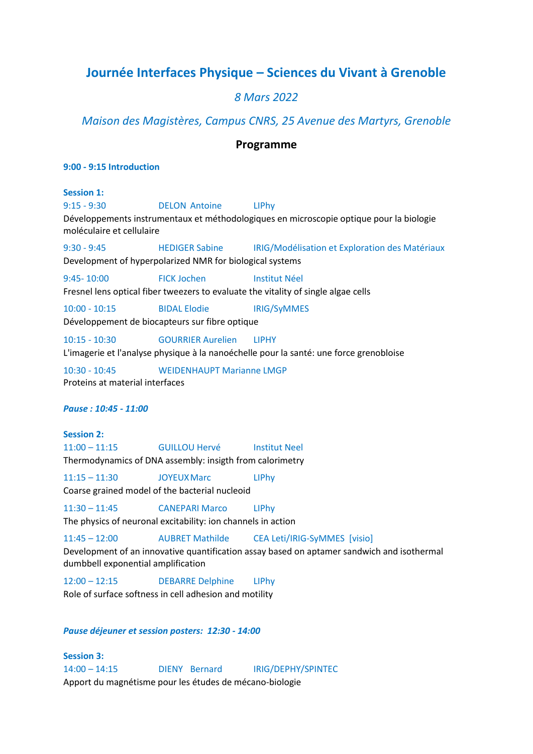# **Journée Interfaces Physique – Sciences du Vivant à Grenoble**

# *8 Mars 2022*

*Maison des Magistères, Campus CNRS, 25 Avenue des Martyrs, Grenoble* 

### **Programme**

#### **9:00 - 9:15 Introduction**

#### **Session 1:**

9:15 - 9:30 DELON Antoine LIPhy

Développements instrumentaux et méthodologiques en microscopie optique pour la biologie moléculaire et cellulaire

9:30 - 9:45 HEDIGER Sabine IRIG/Modélisation et Exploration des Matériaux

Development of hyperpolarized NMR for biological systems

9:45-10:00 FICK Jochen Institut Néel

Fresnel lens optical fiber tweezers to evaluate the vitality of single algae cells

10:00 - 10:15 BIDAL Elodie IRIG/SyMMES

Développement de biocapteurs sur fibre optique

10:15 - 10:30 GOURRIER Aurelien LIPHY

L'imagerie et l'analyse physique à la nanoéchelle pour la santé: une force grenobloise

10:30 - 10:45 WEIDENHAUPT Marianne LMGP Proteins at material interfaces

*Pause : 10:45 - 11:00*

# **Session 2:**  11:00 – 11:15 GUILLOU Hervé Institut Neel

Thermodynamics of DNA assembly: insigth from calorimetry

11:15 – 11:30 JOYEUXMarc LIPhy

Coarse grained model of the bacterial nucleoid

11:30 – 11:45 CANEPARI Marco LIPhy

The physics of neuronal excitability: ion channels in action

11:45 – 12:00 AUBRET Mathilde CEA Leti/IRIG-SyMMES [visio]

Development of an innovative quantification assay based on aptamer sandwich and isothermal dumbbell exponential amplification

12:00 – 12:15 DEBARRE Delphine LIPhy Role of surface softness in cell adhesion and motility

### *Pause déjeuner et session posters: 12:30 - 14:00*

**Session 3:**  14:00 – 14:15 DIENY Bernard IRIG/DEPHY/SPINTEC Apport du magnétisme pour les études de mécano-biologie